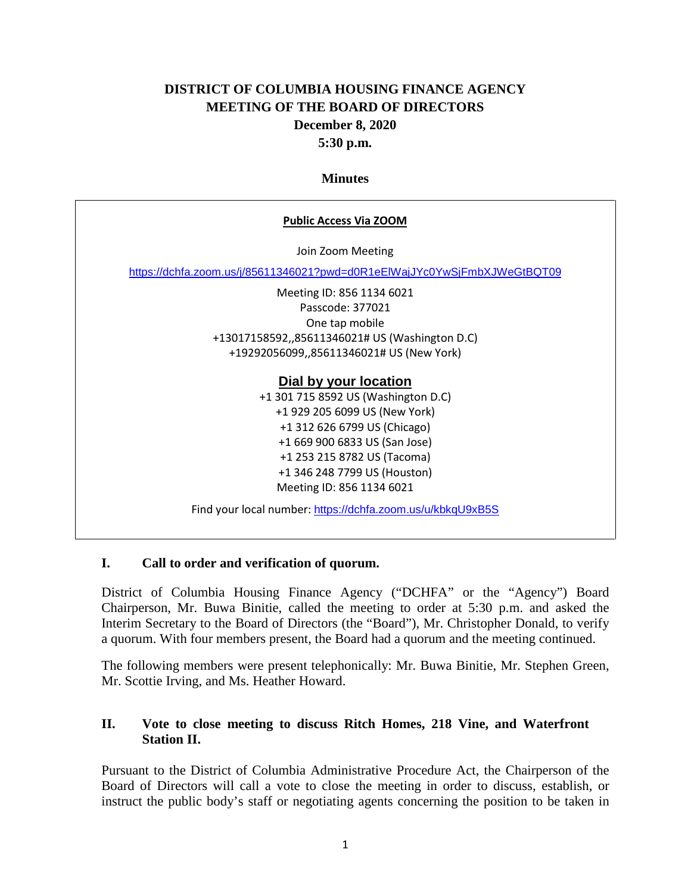# **DISTRICT OF COLUMBIA HOUSING FINANCE AGENCY MEETING OF THE BOARD OF DIRECTORS December 8, 2020 5:30 p.m.**

#### **Minutes**

#### **Public Access Via ZOOM**

Join Zoom Meeting

<https://dchfa.zoom.us/j/85611346021?pwd=d0R1eElWajJYc0YwSjFmbXJWeGtBQT09>

Meeting ID: 856 1134 6021 Passcode: 377021 One tap mobile +13017158592,,85611346021# US (Washington D.C) +19292056099,,85611346021# US (New York)

#### **Dial by your location**

+1 301 715 8592 US (Washington D.C) +1 929 205 6099 US (New York) +1 312 626 6799 US (Chicago) +1 669 900 6833 US (San Jose) +1 253 215 8782 US (Tacoma) +1 346 248 7799 US (Houston) Meeting ID: 856 1134 6021

Find your local number: <https://dchfa.zoom.us/u/kbkqU9xB5S>

#### **I. Call to order and verification of quorum.**

District of Columbia Housing Finance Agency ("DCHFA" or the "Agency") Board Chairperson, Mr. Buwa Binitie, called the meeting to order at 5:30 p.m. and asked the Interim Secretary to the Board of Directors (the "Board"), Mr. Christopher Donald, to verify a quorum. With four members present, the Board had a quorum and the meeting continued.

The following members were present telephonically: Mr. Buwa Binitie, Mr. Stephen Green, Mr. Scottie Irving, and Ms. Heather Howard.

### **II. Vote to close meeting to discuss Ritch Homes, 218 Vine, and Waterfront Station II.**

Pursuant to the District of Columbia Administrative Procedure Act, the Chairperson of the Board of Directors will call a vote to close the meeting in order to discuss, establish, or instruct the public body's staff or negotiating agents concerning the position to be taken in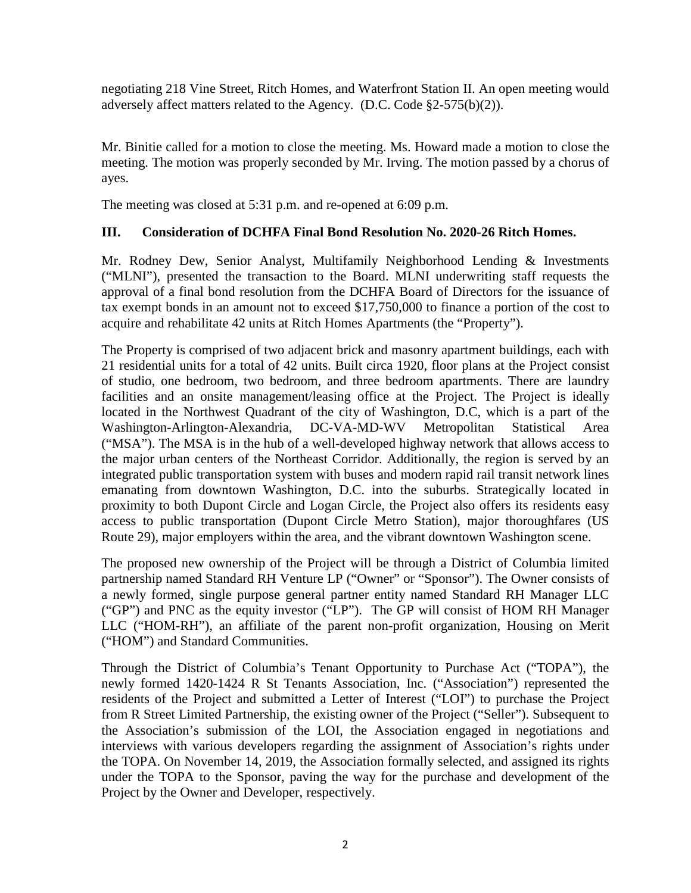negotiating 218 Vine Street, Ritch Homes, and Waterfront Station II. An open meeting would adversely affect matters related to the Agency. (D.C. Code §2-575(b)(2)).

Mr. Binitie called for a motion to close the meeting. Ms. Howard made a motion to close the meeting. The motion was properly seconded by Mr. Irving. The motion passed by a chorus of ayes.

The meeting was closed at 5:31 p.m. and re-opened at 6:09 p.m.

# **III. Consideration of DCHFA Final Bond Resolution No. 2020-26 Ritch Homes.**

Mr. Rodney Dew, Senior Analyst, Multifamily Neighborhood Lending & Investments ("MLNI"), presented the transaction to the Board. MLNI underwriting staff requests the approval of a final bond resolution from the DCHFA Board of Directors for the issuance of tax exempt bonds in an amount not to exceed \$17,750,000 to finance a portion of the cost to acquire and rehabilitate 42 units at Ritch Homes Apartments (the "Property").

The Property is comprised of two adjacent brick and masonry apartment buildings, each with 21 residential units for a total of 42 units. Built circa 1920, floor plans at the Project consist of studio, one bedroom, two bedroom, and three bedroom apartments. There are laundry facilities and an onsite management/leasing office at the Project. The Project is ideally located in the Northwest Quadrant of the city of Washington, D.C, which is a part of the Washington-Arlington-Alexandria, DC-VA-MD-WV Metropolitan Statistical Area ("MSA"). The MSA is in the hub of a well-developed highway network that allows access to the major urban centers of the Northeast Corridor. Additionally, the region is served by an integrated public transportation system with buses and modern rapid rail transit network lines emanating from downtown Washington, D.C. into the suburbs. Strategically located in proximity to both Dupont Circle and Logan Circle, the Project also offers its residents easy access to public transportation (Dupont Circle Metro Station), major thoroughfares (US Route 29), major employers within the area, and the vibrant downtown Washington scene.

The proposed new ownership of the Project will be through a District of Columbia limited partnership named Standard RH Venture LP ("Owner" or "Sponsor"). The Owner consists of a newly formed, single purpose general partner entity named Standard RH Manager LLC ("GP") and PNC as the equity investor ("LP"). The GP will consist of HOM RH Manager LLC ("HOM-RH"), an affiliate of the parent non-profit organization, Housing on Merit ("HOM") and Standard Communities.

Through the District of Columbia's Tenant Opportunity to Purchase Act ("TOPA"), the newly formed 1420-1424 R St Tenants Association, Inc. ("Association") represented the residents of the Project and submitted a Letter of Interest ("LOI") to purchase the Project from R Street Limited Partnership, the existing owner of the Project ("Seller"). Subsequent to the Association's submission of the LOI, the Association engaged in negotiations and interviews with various developers regarding the assignment of Association's rights under the TOPA. On November 14, 2019, the Association formally selected, and assigned its rights under the TOPA to the Sponsor, paving the way for the purchase and development of the Project by the Owner and Developer, respectively.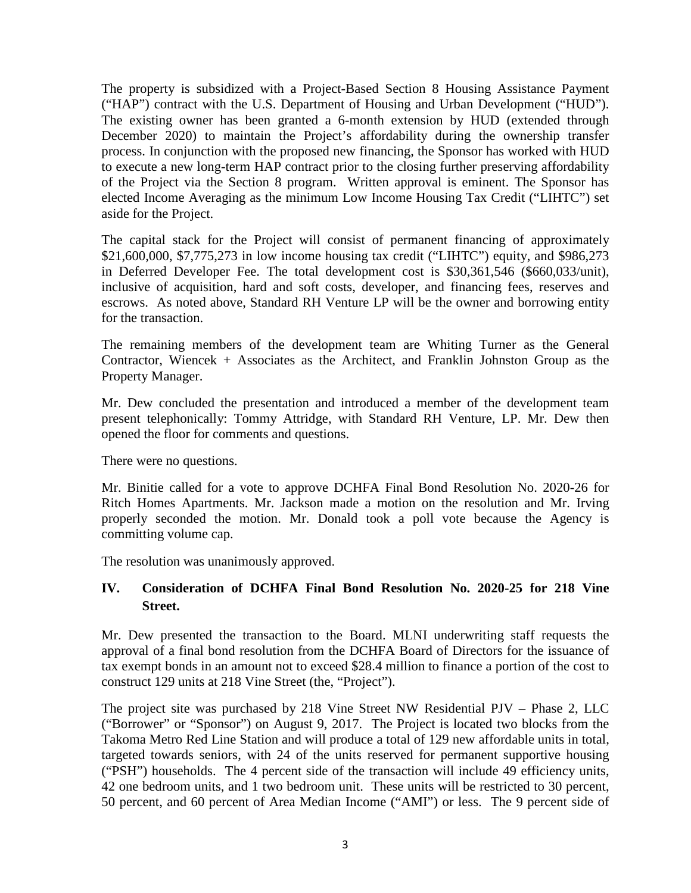The property is subsidized with a Project-Based Section 8 Housing Assistance Payment ("HAP") contract with the U.S. Department of Housing and Urban Development ("HUD"). The existing owner has been granted a 6-month extension by HUD (extended through December 2020) to maintain the Project's affordability during the ownership transfer process. In conjunction with the proposed new financing, the Sponsor has worked with HUD to execute a new long-term HAP contract prior to the closing further preserving affordability of the Project via the Section 8 program. Written approval is eminent. The Sponsor has elected Income Averaging as the minimum Low Income Housing Tax Credit ("LIHTC") set aside for the Project.

The capital stack for the Project will consist of permanent financing of approximately \$21,600,000, \$7,775,273 in low income housing tax credit ("LIHTC") equity, and \$986,273 in Deferred Developer Fee. The total development cost is \$30,361,546 (\$660,033/unit), inclusive of acquisition, hard and soft costs, developer, and financing fees, reserves and escrows. As noted above, Standard RH Venture LP will be the owner and borrowing entity for the transaction.

The remaining members of the development team are Whiting Turner as the General Contractor, Wiencek + Associates as the Architect, and Franklin Johnston Group as the Property Manager.

Mr. Dew concluded the presentation and introduced a member of the development team present telephonically: Tommy Attridge, with Standard RH Venture, LP. Mr. Dew then opened the floor for comments and questions.

There were no questions.

Mr. Binitie called for a vote to approve DCHFA Final Bond Resolution No. 2020-26 for Ritch Homes Apartments. Mr. Jackson made a motion on the resolution and Mr. Irving properly seconded the motion. Mr. Donald took a poll vote because the Agency is committing volume cap.

The resolution was unanimously approved.

## **IV. Consideration of DCHFA Final Bond Resolution No. 2020-25 for 218 Vine Street.**

Mr. Dew presented the transaction to the Board. MLNI underwriting staff requests the approval of a final bond resolution from the DCHFA Board of Directors for the issuance of tax exempt bonds in an amount not to exceed \$28.4 million to finance a portion of the cost to construct 129 units at 218 Vine Street (the, "Project").

The project site was purchased by 218 Vine Street NW Residential PJV – Phase 2, LLC ("Borrower" or "Sponsor") on August 9, 2017. The Project is located two blocks from the Takoma Metro Red Line Station and will produce a total of 129 new affordable units in total, targeted towards seniors, with 24 of the units reserved for permanent supportive housing ("PSH") households. The 4 percent side of the transaction will include 49 efficiency units, 42 one bedroom units, and 1 two bedroom unit. These units will be restricted to 30 percent, 50 percent, and 60 percent of Area Median Income ("AMI") or less. The 9 percent side of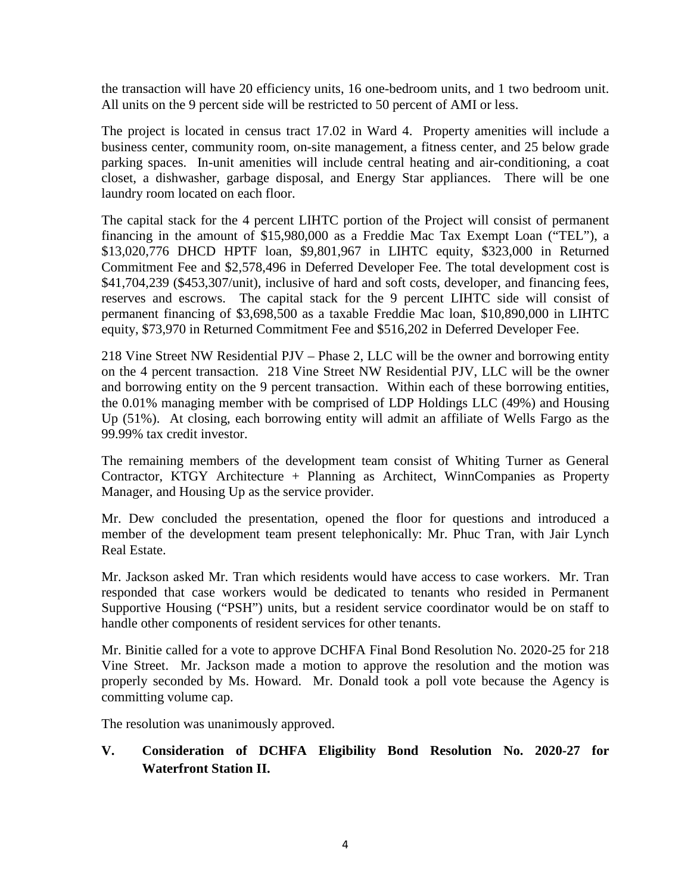the transaction will have 20 efficiency units, 16 one-bedroom units, and 1 two bedroom unit. All units on the 9 percent side will be restricted to 50 percent of AMI or less.

The project is located in census tract 17.02 in Ward 4. Property amenities will include a business center, community room, on-site management, a fitness center, and 25 below grade parking spaces. In-unit amenities will include central heating and air-conditioning, a coat closet, a dishwasher, garbage disposal, and Energy Star appliances. There will be one laundry room located on each floor.

The capital stack for the 4 percent LIHTC portion of the Project will consist of permanent financing in the amount of \$15,980,000 as a Freddie Mac Tax Exempt Loan ("TEL"), a \$13,020,776 DHCD HPTF loan, \$9,801,967 in LIHTC equity, \$323,000 in Returned Commitment Fee and \$2,578,496 in Deferred Developer Fee. The total development cost is \$41,704,239 (\$453,307/unit), inclusive of hard and soft costs, developer, and financing fees, reserves and escrows. The capital stack for the 9 percent LIHTC side will consist of permanent financing of \$3,698,500 as a taxable Freddie Mac loan, \$10,890,000 in LIHTC equity, \$73,970 in Returned Commitment Fee and \$516,202 in Deferred Developer Fee.

218 Vine Street NW Residential PJV – Phase 2, LLC will be the owner and borrowing entity on the 4 percent transaction. 218 Vine Street NW Residential PJV, LLC will be the owner and borrowing entity on the 9 percent transaction. Within each of these borrowing entities, the 0.01% managing member with be comprised of LDP Holdings LLC (49%) and Housing Up (51%). At closing, each borrowing entity will admit an affiliate of Wells Fargo as the 99.99% tax credit investor.

The remaining members of the development team consist of Whiting Turner as General Contractor, KTGY Architecture + Planning as Architect, WinnCompanies as Property Manager, and Housing Up as the service provider.

Mr. Dew concluded the presentation, opened the floor for questions and introduced a member of the development team present telephonically: Mr. Phuc Tran, with Jair Lynch Real Estate.

Mr. Jackson asked Mr. Tran which residents would have access to case workers. Mr. Tran responded that case workers would be dedicated to tenants who resided in Permanent Supportive Housing ("PSH") units, but a resident service coordinator would be on staff to handle other components of resident services for other tenants.

Mr. Binitie called for a vote to approve DCHFA Final Bond Resolution No. 2020-25 for 218 Vine Street. Mr. Jackson made a motion to approve the resolution and the motion was properly seconded by Ms. Howard. Mr. Donald took a poll vote because the Agency is committing volume cap.

The resolution was unanimously approved.

## **V. Consideration of DCHFA Eligibility Bond Resolution No. 2020-27 for Waterfront Station II.**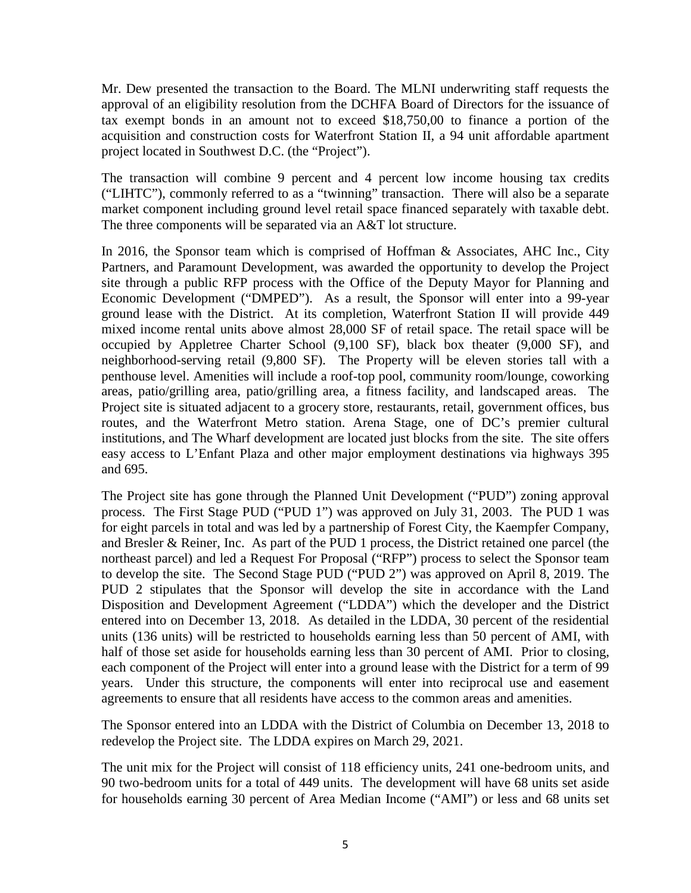Mr. Dew presented the transaction to the Board. The MLNI underwriting staff requests the approval of an eligibility resolution from the DCHFA Board of Directors for the issuance of tax exempt bonds in an amount not to exceed \$18,750,00 to finance a portion of the acquisition and construction costs for Waterfront Station II, a 94 unit affordable apartment project located in Southwest D.C. (the "Project").

The transaction will combine 9 percent and 4 percent low income housing tax credits ("LIHTC"), commonly referred to as a "twinning" transaction. There will also be a separate market component including ground level retail space financed separately with taxable debt. The three components will be separated via an A&T lot structure.

In 2016, the Sponsor team which is comprised of Hoffman & Associates, AHC Inc., City Partners, and Paramount Development, was awarded the opportunity to develop the Project site through a public RFP process with the Office of the Deputy Mayor for Planning and Economic Development ("DMPED"). As a result, the Sponsor will enter into a 99-year ground lease with the District. At its completion, Waterfront Station II will provide 449 mixed income rental units above almost 28,000 SF of retail space. The retail space will be occupied by Appletree Charter School (9,100 SF), black box theater (9,000 SF), and neighborhood-serving retail (9,800 SF). The Property will be eleven stories tall with a penthouse level. Amenities will include a roof-top pool, community room/lounge, coworking areas, patio/grilling area, patio/grilling area, a fitness facility, and landscaped areas. The Project site is situated adjacent to a grocery store, restaurants, retail, government offices, bus routes, and the Waterfront Metro station. Arena Stage, one of DC's premier cultural institutions, and The Wharf development are located just blocks from the site. The site offers easy access to L'Enfant Plaza and other major employment destinations via highways 395 and 695.

The Project site has gone through the Planned Unit Development ("PUD") zoning approval process. The First Stage PUD ("PUD 1") was approved on July 31, 2003. The PUD 1 was for eight parcels in total and was led by a partnership of Forest City, the Kaempfer Company, and Bresler & Reiner, Inc. As part of the PUD 1 process, the District retained one parcel (the northeast parcel) and led a Request For Proposal ("RFP") process to select the Sponsor team to develop the site. The Second Stage PUD ("PUD 2") was approved on April 8, 2019. The PUD 2 stipulates that the Sponsor will develop the site in accordance with the Land Disposition and Development Agreement ("LDDA") which the developer and the District entered into on December 13, 2018. As detailed in the LDDA, 30 percent of the residential units (136 units) will be restricted to households earning less than 50 percent of AMI, with half of those set aside for households earning less than 30 percent of AMI. Prior to closing, each component of the Project will enter into a ground lease with the District for a term of 99 years. Under this structure, the components will enter into reciprocal use and easement agreements to ensure that all residents have access to the common areas and amenities.

The Sponsor entered into an LDDA with the District of Columbia on December 13, 2018 to redevelop the Project site. The LDDA expires on March 29, 2021.

The unit mix for the Project will consist of 118 efficiency units, 241 one-bedroom units, and 90 two-bedroom units for a total of 449 units. The development will have 68 units set aside for households earning 30 percent of Area Median Income ("AMI") or less and 68 units set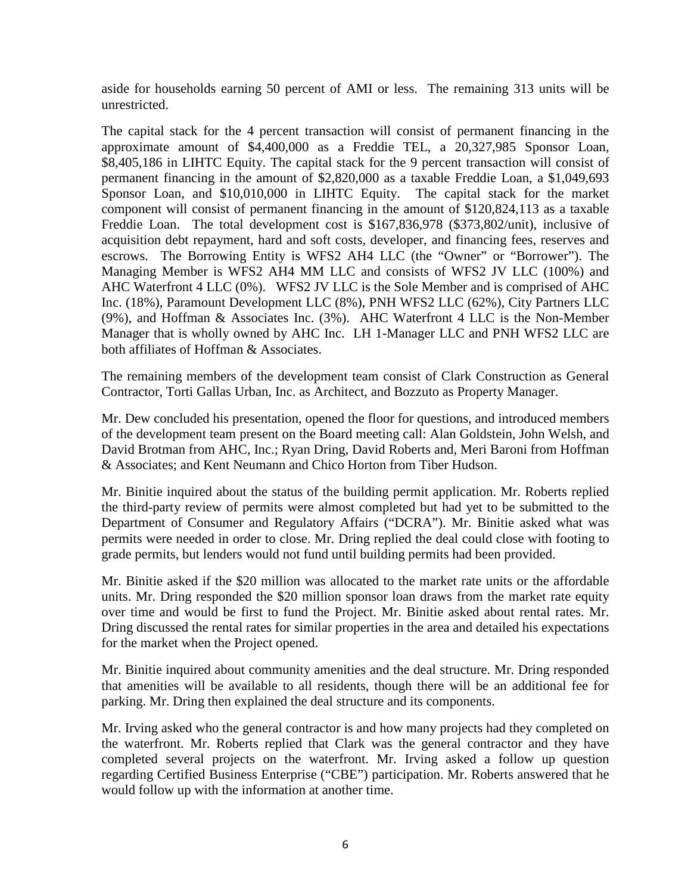aside for households earning 50 percent of AMI or less. The remaining 313 units will be unrestricted.

The capital stack for the 4 percent transaction will consist of permanent financing in the approximate amount of \$4,400,000 as a Freddie TEL, a 20,327,985 Sponsor Loan, \$8,405,186 in LIHTC Equity. The capital stack for the 9 percent transaction will consist of permanent financing in the amount of \$2,820,000 as a taxable Freddie Loan, a \$1,049,693 Sponsor Loan, and \$10,010,000 in LIHTC Equity. The capital stack for the market component will consist of permanent financing in the amount of \$120,824,113 as a taxable Freddie Loan. The total development cost is \$167,836,978 (\$373,802/unit), inclusive of acquisition debt repayment, hard and soft costs, developer, and financing fees, reserves and escrows. The Borrowing Entity is WFS2 AH4 LLC (the "Owner" or "Borrower"). The Managing Member is WFS2 AH4 MM LLC and consists of WFS2 JV LLC (100%) and AHC Waterfront 4 LLC (0%). WFS2 JV LLC is the Sole Member and is comprised of AHC Inc. (18%), Paramount Development LLC (8%), PNH WFS2 LLC (62%), City Partners LLC (9%), and Hoffman & Associates Inc. (3%). AHC Waterfront 4 LLC is the Non-Member Manager that is wholly owned by AHC Inc. LH 1-Manager LLC and PNH WFS2 LLC are both affiliates of Hoffman & Associates.

The remaining members of the development team consist of Clark Construction as General Contractor, Torti Gallas Urban, Inc. as Architect, and Bozzuto as Property Manager.

Mr. Dew concluded his presentation, opened the floor for questions, and introduced members of the development team present on the Board meeting call: Alan Goldstein, John Welsh, and David Brotman from AHC, Inc.; Ryan Dring, David Roberts and, Meri Baroni from Hoffman & Associates; and Kent Neumann and Chico Horton from Tiber Hudson.

Mr. Binitie inquired about the status of the building permit application. Mr. Roberts replied the third-party review of permits were almost completed but had yet to be submitted to the Department of Consumer and Regulatory Affairs ("DCRA"). Mr. Binitie asked what was permits were needed in order to close. Mr. Dring replied the deal could close with footing to grade permits, but lenders would not fund until building permits had been provided.

Mr. Binitie asked if the \$20 million was allocated to the market rate units or the affordable units. Mr. Dring responded the \$20 million sponsor loan draws from the market rate equity over time and would be first to fund the Project. Mr. Binitie asked about rental rates. Mr. Dring discussed the rental rates for similar properties in the area and detailed his expectations for the market when the Project opened.

Mr. Binitie inquired about community amenities and the deal structure. Mr. Dring responded that amenities will be available to all residents, though there will be an additional fee for parking. Mr. Dring then explained the deal structure and its components.

Mr. Irving asked who the general contractor is and how many projects had they completed on the waterfront. Mr. Roberts replied that Clark was the general contractor and they have completed several projects on the waterfront. Mr. Irving asked a follow up question regarding Certified Business Enterprise ("CBE") participation. Mr. Roberts answered that he would follow up with the information at another time.